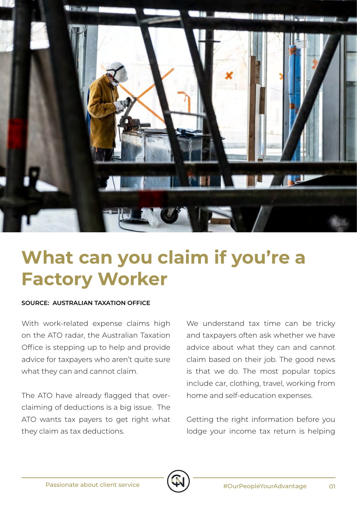

## **What can you claim if you're a Factory Worker**

## **SOURCE: AUSTRALIAN TAXATION OFFICE**

With work-related expense claims high on the ATO radar, the Australian Taxation Office is stepping up to help and provide advice for taxpayers who aren't quite sure what they can and cannot claim.

The ATO have already flagged that overclaiming of deductions is a big issue. The ATO wants tax payers to get right what they claim as tax deductions.

We understand tax time can be tricky and taxpayers often ask whether we have advice about what they can and cannot claim based on their job. The good news is that we do. The most popular topics include car, clothing, travel, working from home and self-education expenses.

Getting the right information before you lodge your income tax return is helping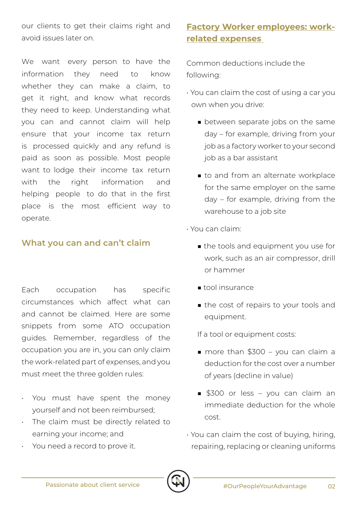our clients to get their claims right and avoid issues later on.

We want every person to have the information they need to know whether they can make a claim, to get it right, and know what records they need to keep. Understanding what you can and cannot claim will help ensure that your income tax return is processed quickly and any refund is paid as soon as possible. Most people want to lodge their income tax return with the right information and helping people to do that in the first place is the most efficient way to operate.

## **What you can and can't claim**

Each occupation has specific circumstances which affect what can and cannot be claimed. Here are some snippets from some ATO occupation guides. Remember, regardless of the occupation you are in, you can only claim the work-related part of expenses, and you must meet the three golden rules:

- You must have spent the money yourself and not been reimbursed;
- The claim must be directly related to earning your income; and
- You need a record to prove it.

## **Factory Worker employees: workrelated expenses**

Common deductions include the following:

- You can claim the cost of using a car you own when you drive:
	- between separate jobs on the same day – for example, driving from your job as a factory worker to your second job as a bar assistant
	- to and from an alternate workplace for the same employer on the same day – for example, driving from the warehouse to a job site
- You can claim:
	- the tools and equipment you use for work, such as an air compressor, drill or hammer
	- tool insurance
	- the cost of repairs to your tools and equipment.

If a tool or equipment costs:

- more than \$300 you can claim a deduction for the cost over a number of years (decline in value)
- \$300 or less you can claim an immediate deduction for the whole cost.
- You can claim the cost of buying, hiring, repairing, replacing or cleaning uniforms